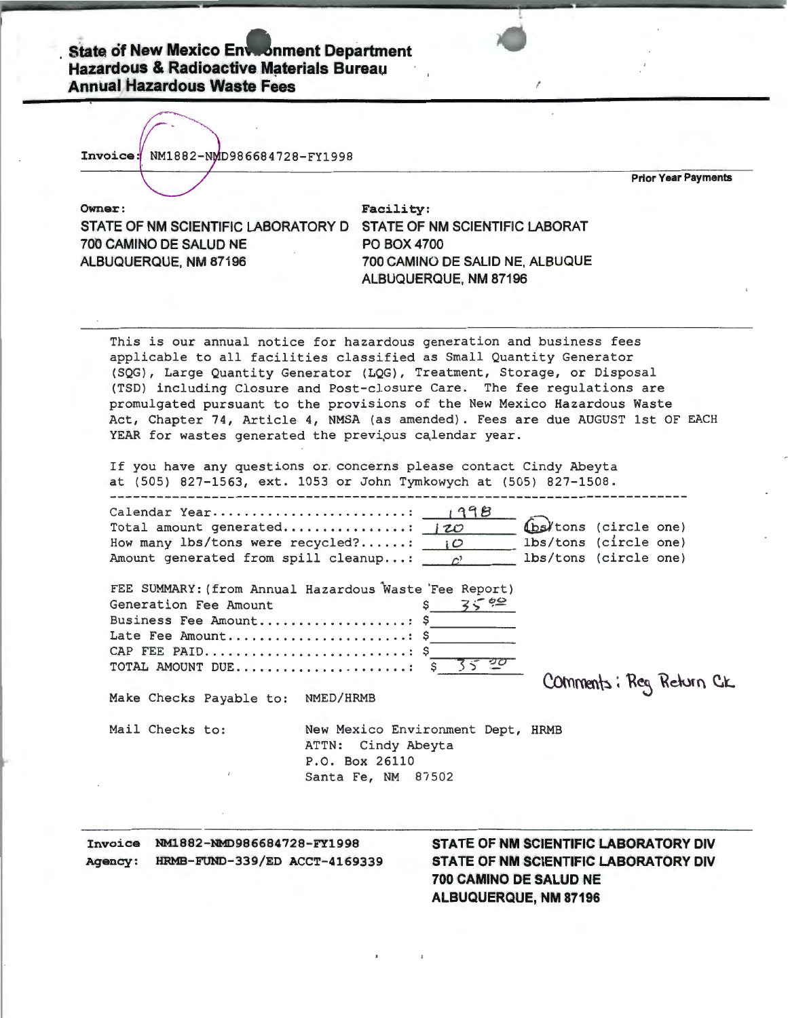| Invoice: NM1882-NMD986684728-FY1998                                                                                                | <b>Prior Year Payments</b>                                                                                                                                                                                                                                                                                     |
|------------------------------------------------------------------------------------------------------------------------------------|----------------------------------------------------------------------------------------------------------------------------------------------------------------------------------------------------------------------------------------------------------------------------------------------------------------|
|                                                                                                                                    |                                                                                                                                                                                                                                                                                                                |
| Owner:                                                                                                                             | Facility:                                                                                                                                                                                                                                                                                                      |
| STATE OF NM SCIENTIFIC LABORATORY D                                                                                                | STATE OF NM SCIENTIFIC LABORAT                                                                                                                                                                                                                                                                                 |
| 700 CAMINO DE SALUD NE                                                                                                             | <b>PO BOX 4700</b>                                                                                                                                                                                                                                                                                             |
| ALBUQUERQUE, NM 87196                                                                                                              | 700 CAMINO DE SALID NE, ALBUQUE                                                                                                                                                                                                                                                                                |
|                                                                                                                                    | ALBUQUERQUE, NM 87196                                                                                                                                                                                                                                                                                          |
|                                                                                                                                    | (SQG), Large Quantity Generator (LQG), Treatment, Storage, or Disposal<br>(TSD) including Closure and Post-closure Care. The fee regulations are<br>promulgated pursuant to the provisions of the New Mexico Hazardous Waste<br>Act, Chapter 74, Article 4, NMSA (as amended). Fees are due AUGUST 1st OF EACH |
| Total amount generated: 120<br>How many lbs/tons were recycled?: $\overline{O}$<br>Amount generated from spill cleanup: $\qquad c$ | YEAR for wastes generated the previous calendar year.<br>If you have any questions or concerns please contact Cindy Abeyta<br>at (505) 827-1563, ext. 1053 or John Tymkowych at (505) 827-1508.<br>(bs/tons (circle one)<br>lbs/tons (circle one)<br>lbs/tons (circle one)                                     |
| Generation Fee Amount<br>Business Fee Amount \$<br>TOTAL AMOUNT DUE                                                                | FEE SUMMARY: (from Annual Hazardous Waste 'Fee Report)<br>3540<br>Late Fee Amount \$<br>$\frac{20}{5}$<br>35<br>s                                                                                                                                                                                              |
| Make Checks Payable to:                                                                                                            | Comments; Reg Return CK<br>NMED/HRMB                                                                                                                                                                                                                                                                           |
| Mail Checks to:                                                                                                                    | New Mexico Environment Dept, HRMB                                                                                                                                                                                                                                                                              |
|                                                                                                                                    | ATTN: Cindy Abeyta<br>P.O. Box 26110                                                                                                                                                                                                                                                                           |

Invoice NM1882-NMD986684728-FY1998 Agency: HRMB-FUND-339/ED ACCT-4169339 STATE OF NM SCIENTIFIC LABORATORY DIV STATE OF NM SCIENTIFIC LABORATORY DIV 700 CAMINO DE SALUD NE ALBUQUERQUE, NM 87196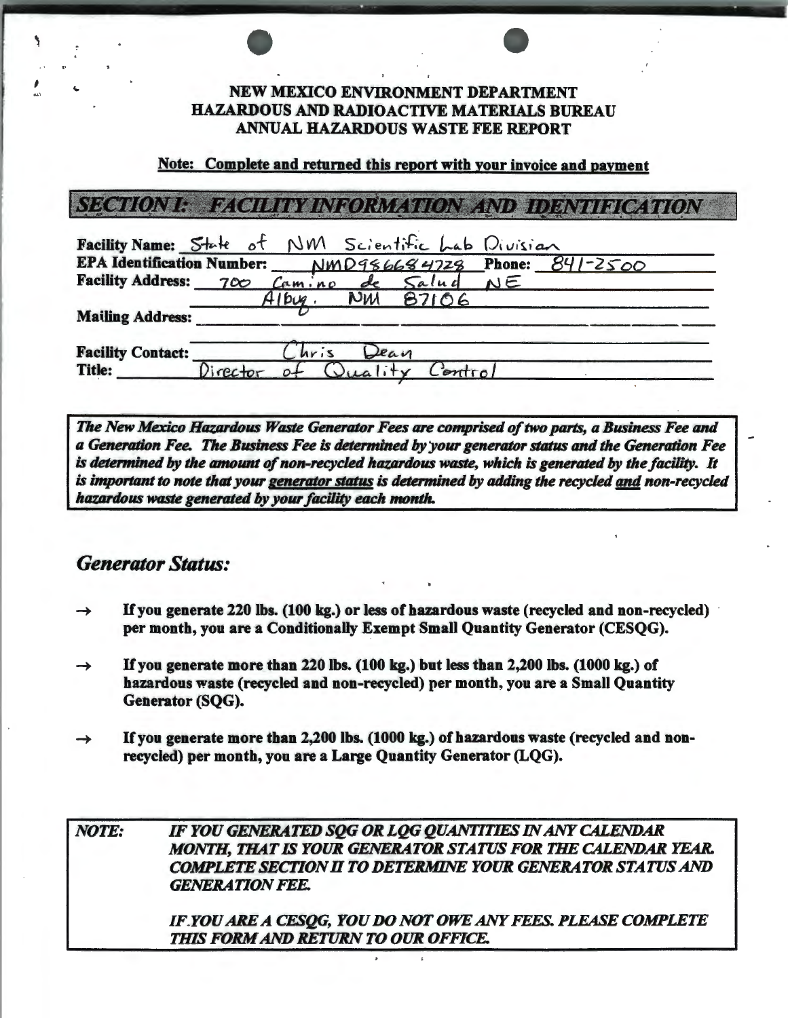### NEW MEXICO ENVIRONMENT DEPARTMENT HAZARDOUS AND RADIOACTIVE MATERIALS BUREAU ANNUAL HAZARDOUS WASTE FEE REPORT

### Note: Complete and returned this report with your invoice and payment

# SECTION I: FACILITY INFORMATION AND IDENTIFICATION

| Facility Name: State of NM Scientific Lab Division      |               |                 |      |                 |  |  |
|---------------------------------------------------------|---------------|-----------------|------|-----------------|--|--|
| EPA Identification Number: NMD986684728 Phone: 841-2500 |               |                 |      |                 |  |  |
| Facility Address: 700 Camino de Salud NE                |               |                 |      |                 |  |  |
|                                                         |               | $Alb\omega_2$ . |      | <b>NW 87106</b> |  |  |
| <b>Mailing Address:</b>                                 |               |                 |      |                 |  |  |
| <b>Facility Contact:</b>                                |               | Chris           | Dean |                 |  |  |
| <b>Title:</b>                                           | $Director$ of |                 |      | Control         |  |  |

*The New Mexico Hazardous Waste Generator Fees are comprised of two parts, a Business Fee and a Generation Fee. The Business Fee* is *determined by 'your generator status and the Generation Fee*  is *determined by the amount of non-recycled hazardous waste, which* is *generated by the facility. It*  is *important to note that your generator* status is *determined by adding the recycled and non-recycled hazardous waste generated by your facility each month.* 

## *Generator Status:*

- If you generate 220 lbs. (100 kg.) or less of hazardous waste (recycled and non-recycled) per month, you are a Conditionally Exempt Small Quantity Generator (CESQG).
- If you generate more than 220 lbs. (100 kg.) but less than 2,200 lbs. (1000 kg.) of  $\rightarrow$ hazardous waste (recycled and non-recycled) per month, you are a Small Quantity Generator (SQG).
- If you generate more than 2,200 lbs. (1000 kg.) of hazardous waste (recycled and nonrecycled) per month, you are a Large Quantity Generator (LQG).

*NOTE: IF YOU GENERATED SQG OR LQG QUANTITIES IN ANY CALENDAR MONTH, THAT IS YOUR GENERATOR STATUS FOR THE CALENDAR* YEAR. *COMPLETE SECilON H TO DETERMINE YOUR GENERATOR STATUS AND GENERATION FEE. IF.YOU ARE A CESQG, YOU DO NOT OWE ANY FEES. PLEASE COMPLETE THIS FORM AND RETURN TO OUR OFFICE.*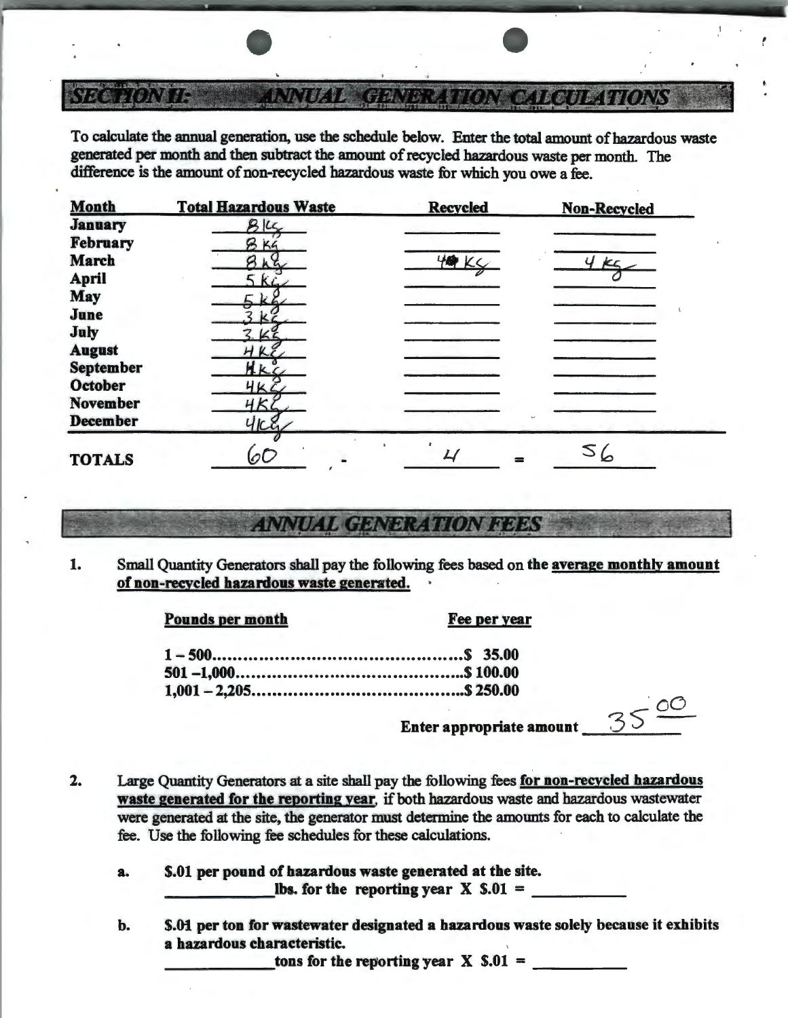#### **ETNDAL TORATA** Terniya R **THAT TO NA**

To calculate the annual generation, use the schedule below. Enter the total amount of hazardous waste generated per month and then subtract the amount of recycled hazardous waste per month. The difference is the amount of non-recycled hazardous waste for which you owe a fee.

| <b>Month</b>     | <b>Total Hazardous Waste</b> | <b>Recycled</b> | <b>Non-Recycled</b> |
|------------------|------------------------------|-----------------|---------------------|
| <b>January</b>   | B16                          |                 |                     |
| <b>February</b>  | B K4                         |                 |                     |
| <b>March</b>     | Sha                          | 40 Kg           | 4k<                 |
| <b>April</b>     |                              |                 |                     |
| <b>May</b>       | k6                           |                 |                     |
| June             |                              |                 |                     |
| July             |                              |                 |                     |
| <b>August</b>    |                              |                 |                     |
| <b>September</b> | AKC                          |                 |                     |
| <b>October</b>   |                              |                 |                     |
| <b>November</b>  | ЧKі                          |                 |                     |
| <b>December</b>  |                              |                 |                     |
| <b>TOTALS</b>    | $\mathcal{O}$                |                 |                     |

## **ANNUAL GENERATION FEES**

1. Small Quantity Generators shall pay the following fees based on the average monthly amount of non-recycled hazardous waste generated.

### Pounds per month Fee per year

Enter appropriate amount

 $\epsilon$  00

- 2. Large Quantity Generators at a site shall pay the following fees for non-recycled hazardous waste generated for the reporting year. if both hazardous waste and hazardous wastewater were generated at the site, the generator must determine the amounts for each to calculate the fee. Use the following fee schedules for these calculations.
	- a.  $$.01$  per pound of hazardous waste generated at the site.<br>  $\frac{1}{100}$  lbs. for the reporting year X \$.01 =
	- b. \$.01 per ton for wastewater designated a hazardous waste solely because it exhibits a hazardous characteristic.

tons for the reporting year  $X \simeq .01 =$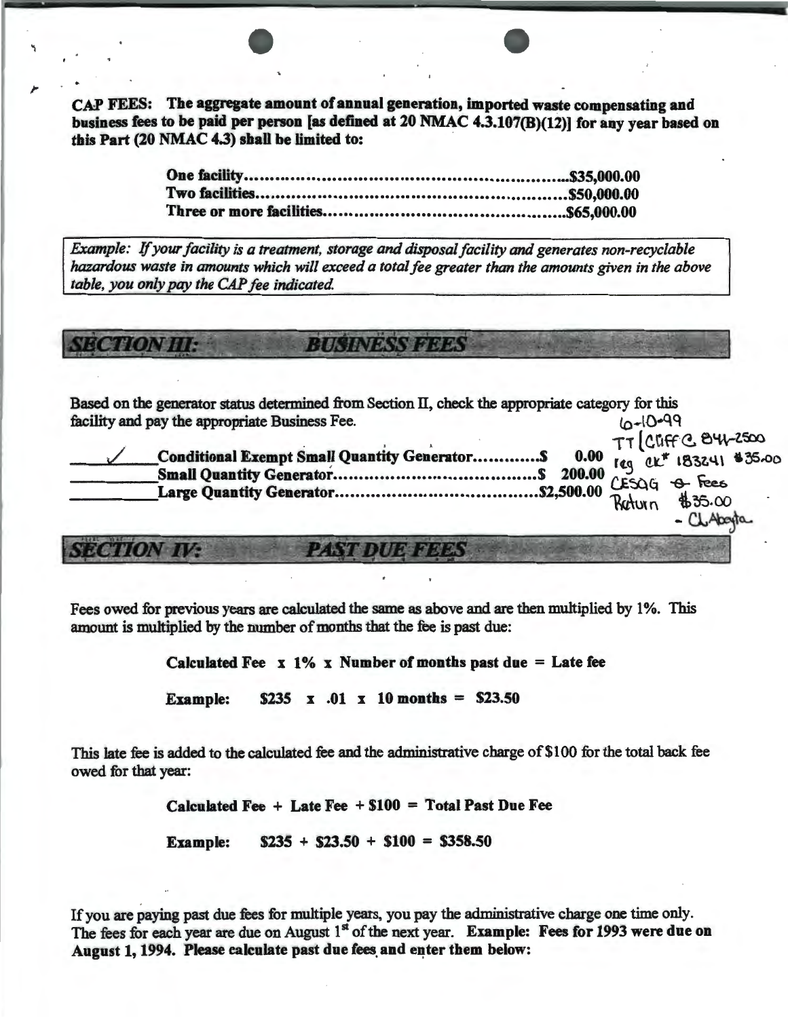CAP FEES: The aggregate amount of annual generation, imported waste compensating and business fees to be paid per person [as defined at 20 NMAC 4.3.107(B)(12)] for any year based on this Part (20 NMAC 4.3) shall be limited to:

Example: If your facility is a treatment, storage and disposal facility and generates non-recyclable hazardous waste in amounts which will exceed a total fee greater than the amounts given in the above table, you only pay the CAP fee indicated.

*RUSINESS PERS YECHONIUR* 

Based on the generator status determined from Section II, check the appropriate category for this facility and pay the appropriate Business Fee.  $10-10-99$  $T - 1$   $nncc$   $\alpha$   $\beta$   $41 - 2500$ 

|  |  | $-$ |  |
|--|--|-----|--|

- CL/

Hooyto

**SECTION IN** 

Fees owed for previous years are calculated the same as above and are then multiplied by 1%. This amount is multiplied by the number of months that the fee is past due:

Calculated Fee  $x 1\% x$  Number of months past due = Late fee

 $$235 \times .01 \times 10 \text{ months} = $23.50$ **Example:** 

This late fee is added to the calculated fee and the administrative charge of \$100 for the total back fee owed for that year:

Calculated Fee  $+$  Late Fee  $+$  \$100 = Total Past Due Fee

 $$235 + $23.50 + $100 = $358.50$ **Example:** 

If you are paying past due fees for multiple years, you pay the administrative charge one time only. The fees for each year are due on August 1<sup>st</sup> of the next year. Example: Fees for 1993 were due on August 1, 1994. Please calculate past due fees and enter them below: